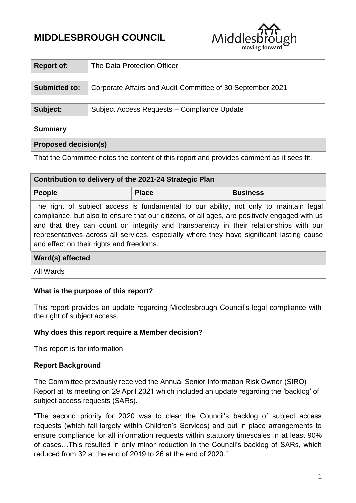# **MIDDLESBROUGH COUNCIL**

| Middlesbrough |
|---------------|
|               |

| <b>Report of:</b>    | The Data Protection Officer                                |  |
|----------------------|------------------------------------------------------------|--|
|                      |                                                            |  |
| <b>Submitted to:</b> | Corporate Affairs and Audit Committee of 30 September 2021 |  |
|                      |                                                            |  |
| Subject:             | Subject Access Requests - Compliance Update                |  |

#### **Summary**

#### **Proposed decision(s)**

That the Committee notes the content of this report and provides comment as it sees fit.

| Contribution to delivery of the 2021-24 Strategic Plan                                                                                                                                                                                                                                                                                                                                                                   |              |                 |  |  |  |
|--------------------------------------------------------------------------------------------------------------------------------------------------------------------------------------------------------------------------------------------------------------------------------------------------------------------------------------------------------------------------------------------------------------------------|--------------|-----------------|--|--|--|
| <b>People</b>                                                                                                                                                                                                                                                                                                                                                                                                            | <b>Place</b> | <b>Business</b> |  |  |  |
| The right of subject access is fundamental to our ability, not only to maintain legal<br>compliance, but also to ensure that our citizens, of all ages, are positively engaged with us<br>and that they can count on integrity and transparency in their relationships with our<br>representatives across all services, especially where they have significant lasting cause<br>and effect on their rights and freedoms. |              |                 |  |  |  |
| Ward(s) affected                                                                                                                                                                                                                                                                                                                                                                                                         |              |                 |  |  |  |
| All Wards                                                                                                                                                                                                                                                                                                                                                                                                                |              |                 |  |  |  |

## **What is the purpose of this report?**

This report provides an update regarding Middlesbrough Council's legal compliance with the right of subject access.

#### **Why does this report require a Member decision?**

This report is for information.

## **Report Background**

The Committee previously received the Annual Senior Information Risk Owner (SIRO) Report at its meeting on 29 April 2021 which included an update regarding the 'backlog' of subject access requests (SARs).

"The second priority for 2020 was to clear the Council's backlog of subject access requests (which fall largely within Children's Services) and put in place arrangements to ensure compliance for all information requests within statutory timescales in at least 90% of cases…This resulted in only minor reduction in the Council's backlog of SARs, which reduced from 32 at the end of 2019 to 26 at the end of 2020."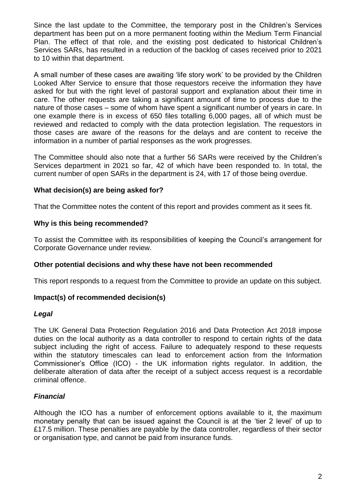Since the last update to the Committee, the temporary post in the Children's Services department has been put on a more permanent footing within the Medium Term Financial Plan. The effect of that role, and the existing post dedicated to historical Children's Services SARs, has resulted in a reduction of the backlog of cases received prior to 2021 to 10 within that department.

A small number of these cases are awaiting 'life story work' to be provided by the Children Looked After Service to ensure that those requestors receive the information they have asked for but with the right level of pastoral support and explanation about their time in care. The other requests are taking a significant amount of time to process due to the nature of those cases – some of whom have spent a significant number of years in care. In one example there is in excess of 650 files totalling 6,000 pages, all of which must be reviewed and redacted to comply with the data protection legislation. The requestors in those cases are aware of the reasons for the delays and are content to receive the information in a number of partial responses as the work progresses.

The Committee should also note that a further 56 SARs were received by the Children's Services department in 2021 so far, 42 of which have been responded to. In total, the current number of open SARs in the department is 24, with 17 of those being overdue.

#### **What decision(s) are being asked for?**

That the Committee notes the content of this report and provides comment as it sees fit.

#### **Why is this being recommended?**

To assist the Committee with its responsibilities of keeping the Council's arrangement for Corporate Governance under review.

#### **Other potential decisions and why these have not been recommended**

This report responds to a request from the Committee to provide an update on this subject.

## **Impact(s) of recommended decision(s)**

#### *Legal*

The UK General Data Protection Regulation 2016 and Data Protection Act 2018 impose duties on the local authority as a data controller to respond to certain rights of the data subject including the right of access. Failure to adequately respond to these requests within the statutory timescales can lead to enforcement action from the Information Commissioner's Office (ICO) - the UK information rights regulator. In addition, the deliberate alteration of data after the receipt of a subject access request is a recordable criminal offence.

## *Financial*

Although the ICO has a number of enforcement options available to it, the maximum monetary penalty that can be issued against the Council is at the 'tier 2 level' of up to £17.5 million. These penalties are payable by the data controller, regardless of their sector or organisation type, and cannot be paid from insurance funds.